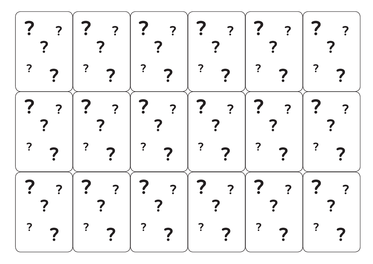